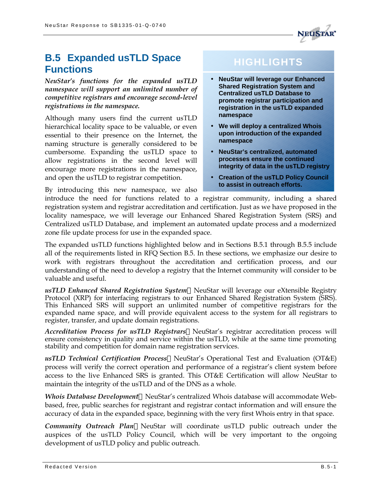

# **B.5 Expanded usTLD Space Functions**

*NeuStar's functions for the expanded usTLD namespace will support an unlimited number of competitive registrars and encourage second-level registrations in the namespace.*

Although many users find the current usTLD hierarchical locality space to be valuable, or even essential to their presence on the Internet, the naming structure is generally considered to be cumbersome. Expanding the usTLD space to allow registrations in the second level will encourage more registrations in the namespace, and open the usTLD to registrar competition.

By introducing this new namespace, we also

# **HIGHLIGHTS**

- **NeuStar will leverage our Enhanced Shared Registration System and Centralized usTLD Database to promote registrar participation and registration in the usTLD expanded namespace**
- **We will deploy a centralized Whois upon introduction of the expanded namespace**
- **NeuStar's centralized, automated processes ensure the continued integrity of data in the usTLD registry**
- **Creation of the usTLD Policy Council to assist in outreach efforts.**

introduce the need for functions related to a registrar community, including a shared registration system and registrar accreditation and certification. Just as we have proposed in the locality namespace, we will leverage our Enhanced Shared Registration System (SRS) and Centralized usTLD Database, and implement an automated update process and a modernized zone file update process for use in the expanded space.

The expanded usTLD functions highlighted below and in Sections B.5.1 through B.5.5 include all of the requirements listed in RFQ Section B.5. In these sections, we emphasize our desire to work with registrars throughout the accreditation and certification process, and our understanding of the need to develop a registry that the Internet community will consider to be valuable and useful.

usTLD Enhanced Shared Registration System—NeuStar will leverage our eXtensible Registry Protocol (XRP) for interfacing registrars to our Enhanced Shared Registration System (SRS). This Enhanced SRS will support an unlimited number of competitive registrars for the expanded name space, and will provide equivalent access to the system for all registrars to register, transfer, and update domain registrations.

*Accreditation Process for usTLD Registrars*—NeuStar's registrar accreditation process will ensure consistency in quality and service within the usTLD, while at the same time promoting stability and competition for domain name registration services.

usTLD Technical Certification Process—NeuStar's Operational Test and Evaluation (OT&E) process will verify the correct operation and performance of a registrar's client system before access to the live Enhanced SRS is granted. This OT&E Certification will allow NeuStar to maintain the integrity of the usTLD and of the DNS as a whole.

*Whois Database Development*—NeuStar's centralized Whois database will accommodate Webbased, free, public searches for registrant and registrar contact information and will ensure the accuracy of data in the expanded space, beginning with the very first Whois entry in that space.

**Community Outreach Plan—NeuStar will coordinate usTLD public outreach under the** auspices of the usTLD Policy Council, which will be very important to the ongoing development of usTLD policy and public outreach.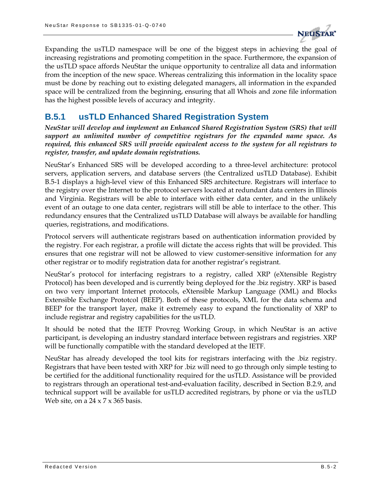

Expanding the usTLD namespace will be one of the biggest steps in achieving the goal of increasing registrations and promoting competition in the space. Furthermore, the expansion of the usTLD space affords NeuStar the unique opportunity to centralize all data and information from the inception of the new space. Whereas centralizing this information in the locality space must be done by reaching out to existing delegated managers, all information in the expanded space will be centralized from the beginning, ensuring that all Whois and zone file information has the highest possible levels of accuracy and integrity.

### **B.5.1 usTLD Enhanced Shared Registration System**

*NeuStar will develop and implement an Enhanced Shared Registration System (SRS) that will support an unlimited number of competitive registrars for the expanded name space. As required, this enhanced SRS will provide equivalent access to the system for all registrars to register, transfer, and update domain registrations.*

NeuStar's Enhanced SRS will be developed according to a three-level architecture: protocol servers, application servers, and database servers (the Centralized usTLD Database). Exhibit B.5-1 displays a high-level view of this Enhanced SRS architecture. Registrars will interface to the registry over the Internet to the protocol servers located at redundant data centers in Illinois and Virginia. Registrars will be able to interface with either data center, and in the unlikely event of an outage to one data center, registrars will still be able to interface to the other. This redundancy ensures that the Centralized usTLD Database will always be available for handling queries, registrations, and modifications.

Protocol servers will authenticate registrars based on authentication information provided by the registry. For each registrar, a profile will dictate the access rights that will be provided. This ensures that one registrar will not be allowed to view customer-sensitive information for any other registrar or to modify registration data for another registrar's registrant.

NeuStar's protocol for interfacing registrars to a registry, called XRP (eXtensible Registry Protocol) has been developed and is currently being deployed for the .biz registry. XRP is based on two very important Internet protocols, eXtensible Markup Language (XML) and Blocks Extensible Exchange Prototcol (BEEP). Both of these protocols, XML for the data schema and BEEP for the transport layer, make it extremely easy to expand the functionality of XRP to include registrar and registry capabilities for the usTLD.

It should be noted that the IETF Provreg Working Group, in which NeuStar is an active participant, is developing an industry standard interface between registrars and registries. XRP will be functionally compatible with the standard developed at the IETF.

NeuStar has already developed the tool kits for registrars interfacing with the .biz registry. Registrars that have been tested with XRP for .biz will need to go through only simple testing to be certified for the additional functionality required for the usTLD. Assistance will be provided to registrars through an operational test-and-evaluation facility, described in Section B.2.9, and technical support will be available for usTLD accredited registrars, by phone or via the usTLD Web site, on a  $24 \times 7 \times 365$  basis.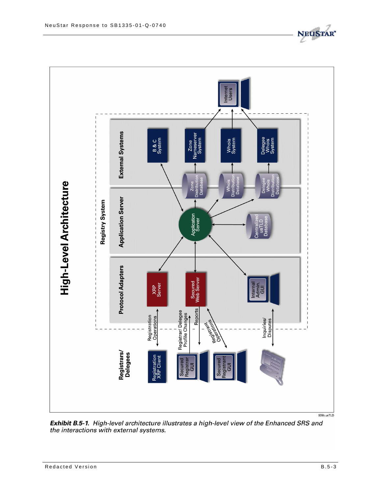

Exhibit B.5-1. High-level architecture illustrates a high-level view of the Enhanced SRS and the interactions with external systems.

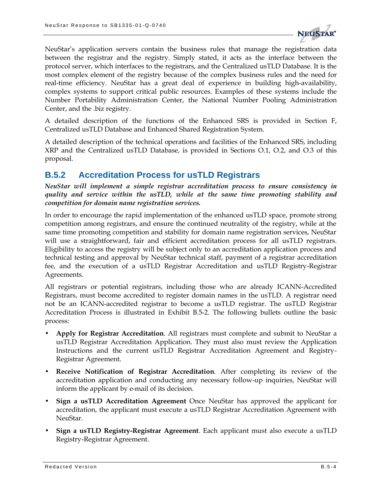

NeuStar's application servers contain the business rules that manage the registration data between the registrar and the registry. Simply stated, it acts as the interface between the protocol server, which interfaces to the registrars, and the Centralized usTLD Database. It is the most complex element of the registry because of the complex business rules and the need for real-time efficiency. NeuStar has a great deal of experience in building high-availability, complex systems to support critical public resources. Examples of these systems include the Number Portability Administration Center, the National Number Pooling Administration Center, and the .biz registry.

A detailed description of the functions of the Enhanced SRS is provided in Section F, Centralized usTLD Database and Enhanced Shared Registration System.

A detailed description of the technical operations and facilities of the Enhanced SRS, including XRP and the Centralized usTLD Database, is provided in Sections O.1, O.2, and O.3 of this proposal.

### **B.5.2 Accreditation Process for usTLD Registrars**

*NeuStar will implement a simple registrar accreditation process to ensure consistency in quality and service within the usTLD, while at the same time promoting stability and competition for domain name registration services.*

In order to encourage the rapid implementation of the enhanced usTLD space, promote strong competition among registrars, and ensure the continued neutrality of the registry, while at the same time promoting competition and stability for domain name registration services, NeuStar will use a straightforward, fair and efficient accreditation process for all usTLD registrars. Eligibility to access the registry will be subject only to an accreditation application process and technical testing and approval by NeuStar technical staff, payment of a registrar accreditation fee, and the execution of a usTLD Registrar Accreditation and usTLD Registry-Registrar Agreements.

All registrars or potential registrars, including those who are already ICANN-Accredited Registrars, must become accredited to register domain names in the usTLD. A registrar need not be an ICANN-accredited registrar to become a usTLD registrar. The usTLD Registrar Accreditation Process is illustrated in Exhibit B.5-2. The following bullets outline the basic process:

- **Apply for Registrar Accreditation**. All registrars must complete and submit to NeuStar a usTLD Registrar Accreditation Application. They must also must review the Application Instructions and the current usTLD Registrar Accreditation Agreement and Registry-Registrar Agreement.
- **Receive Notification of Registrar Accreditation**. After completing its review of the accreditation application and conducting any necessary follow-up inquiries, NeuStar will inform the applicant by e-mail of its decision.
- **Sign a usTLD Accreditation Agreement** Once NeuStar has approved the applicant for accreditation, the applicant must execute a usTLD Registrar Accreditation Agreement with NeuStar.
- **Sign a usTLD Registry-Registrar Agreement**. Each applicant must also execute a usTLD Registry-Registrar Agreement.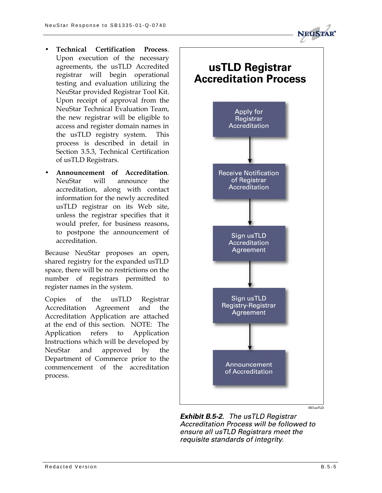

- **Technical Certification Process**. Upon execution of the necessary agre ements, the usTLD Accredited registrar will begin operational testing and evaluation utilizing the NeuStar provided Registrar Tool Kit. Upon receipt of approval from the NeuStar Technical Evaluation Team, the new registrar will be eligible to access and register domain names in the usTLD registry system. This process is described in detail in Section 3.5.3, Technical Certification of usTLD Registrars.
- **Announcement of Accreditation**. NeuStar will announce the accreditation, along with co ntact information for the newly accredited usTLD registrar on its Web site, unless the registrar specifies that it would prefer, for business reasons, to postpone the announcement of accreditation.

Because NeuStar proposes an open, shared registry for the expanded usTLD space, there will be no restrictions on the number of registrars permitted to register names in the system.

Copies of the usTLD Registrar Accreditation Agreement and the Accreditation Application are attached at the end of this section. NOTE: The Application refers to Application Instructions which will be developed by NeuStar and approved by the Department of Commerce prior to the commencement of the accreditation process.



**Exhibit B.5-2.** The usTLD Registrar Accreditation Process will be followed to ensure all usTLD Registrars meet the requisite standards of integrity.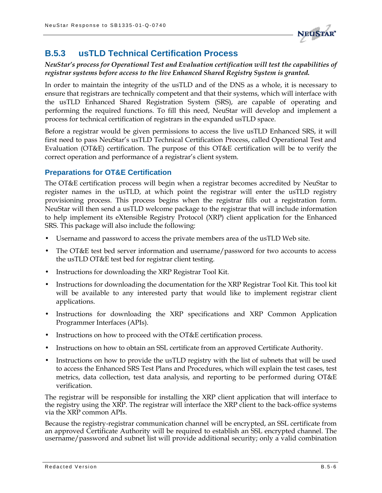

### **B.5.3 usTLD Technical Certification Process**

*NeuStar's process for Operational Test and Evaluation certification will test the capabilities of registrar systems before access to the live Enhanced Shared Registry System is granted.*

In order to maintain the integrity of the usTLD and of the DNS as a whole, it is necessary to ensure that registrars are technically competent and that their systems, which will interface with the usTLD Enhanced Shared Registration System (SRS), are capable of operating and performing the required functions. To fill this need, NeuStar will develop and implement a process for technical certification of registrars in the expanded usTLD space.

Before a registrar would be given permissions to access the live usTLD Enhanced SRS, it will first need to pass NeuStar's usTLD Technical Certification Process, called Operational Test and Evaluation (OT&E) certification. The purpose of this OT&E certification will be to verify the correct operation and performance of a registrar's client system.

#### **Preparations for OT&E Certification**

The OT&E certification process will begin when a registrar becomes accredited by NeuStar to register names in the usTLD, at which point the registrar will enter the usTLD registry provisioning process. This process begins when the registrar fills out a registration form. NeuStar will then send a usTLD welcome package to the registrar that will include information to help implement its eXtensible Registry Protocol (XRP) client application for the Enhanced SRS. This package will also include the following:

- Username and password to access the private members area of the usTLD Web site.
- The OT&E test bed server information and username/password for two accounts to access the usTLD OT&E test bed for registrar client testing.
- Instructions for downloading the XRP Registrar Tool Kit.
- Instructions for downloading the documentation for the XRP Registrar Tool Kit. This tool kit will be available to any interested party that would like to implement registrar client applications.
- Instructions for downloading the XRP specifications and XRP Common Application Programmer Interfaces (APIs).
- Instructions on how to proceed with the OT&E certification process.
- Instructions on how to obtain an SSL certificate from an approved Certificate Authority.
- Instructions on how to provide the usTLD registry with the list of subnets that will be used to access the Enhanced SRS Test Plans and Procedures, which will explain the test cases, test metrics, data collection, test data analysis, and reporting to be performed during OT&E verification.

The registrar will be responsible for installing the XRP client application that will interface to the registry using the XRP. The registrar will interface the XRP client to the back-office systems via the XRP common APIs.

Because the registry-registrar communication channel will be encrypted, an SSL certificate from an approved Certificate Authority will be required to establish an SSL encrypted channel. The username/password and subnet list will provide additional security; only a valid combination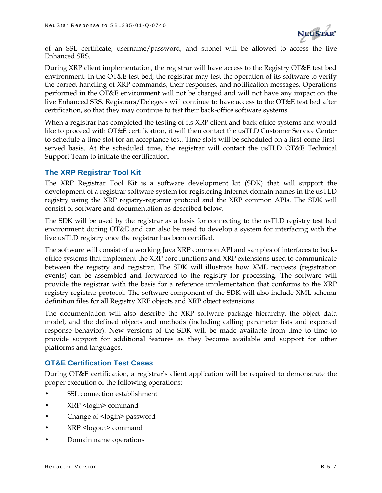

of an SSL certificate, username/password, and subnet will be allowed to access the live Enhanced SRS.

During XRP client implementation, the registrar will have access to the Registry OT&E test bed environment. In the OT&E test bed, the registrar may test the operation of its software to verify the correct handling of XRP commands, their responses, and notification messages. Operations performed in the OT&E environment will not be charged and will not have any impact on the live Enhanced SRS. Registrars/Delegees will continue to have access to the OT&E test bed after certification, so that they may continue to test their back-office software systems.

When a registrar has completed the testing of its XRP client and back-office systems and would like to proceed with OT&E certification, it will then contact the usTLD Customer Service Center to schedule a time slot for an acceptance test. Time slots will be scheduled on a first-come-firstserved basis. At the scheduled time, the registrar will contact the usTLD OT&E Technical Support Team to initiate the certification.

#### **The XRP Registrar Tool Kit**

The XRP Registrar Tool Kit is a software development kit (SDK) that will support the development of a registrar software system for registering Internet domain names in the usTLD registry using the XRP registry-registrar protocol and the XRP common APIs. The SDK will consist of software and documentation as described below.

The SDK will be used by the registrar as a basis for connecting to the usTLD registry test bed environment during OT&E and can also be used to develop a system for interfacing with the live usTLD registry once the registrar has been certified.

The software will consist of a working Java XRP common API and samples of interfaces to backoffice systems that implement the XRP core functions and XRP extensions used to communicate between the registry and registrar. The SDK will illustrate how XML requests (registration events) can be assembled and forwarded to the registry for processing. The software will provide the registrar with the basis for a reference implementation that conforms to the XRP registry-registrar protocol. The software component of the SDK will also include XML schema definition files for all Registry XRP objects and XRP object extensions.

The documentation will also describe the XRP software package hierarchy, the object data model, and the defined objects and methods (including calling parameter lists and expected response behavior). New versions of the SDK will be made available from time to time to provide support for additional features as they become available and support for other platforms and languages.

#### **OT&E Certification Test Cases**

During OT&E certification, a registrar's client application will be required to demonstrate the proper execution of the following operations:

- SSL connection establishment
- XRP <login> command
- Change of <login> password
- XRP <logout> command
- Domain name operations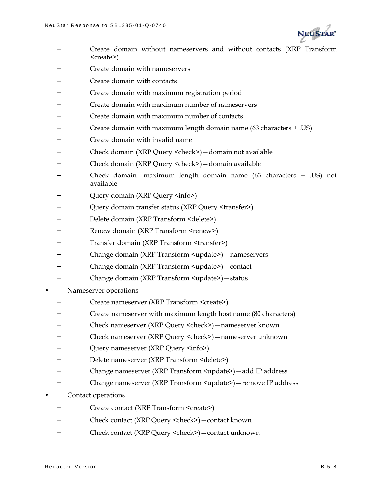

- − Create domain without nameservers and without contacts (XRP Transform <create>)
- − Create domain with nameservers
- − Create domain with contacts
- − Create domain with maximum registration period
- − Create domain with maximum number of nameservers
- − Create domain with maximum number of contacts
- − Create domain with maximum length domain name (63 characters + .US)
- − Create domain with invalid name
- − Check domain (XRP Query <check>)—domain not available
- − Check domain (XRP Query <check>)—domain available
- − Check domain—maximum length domain name (63 characters + .US) not available
- − Query domain (XRP Query <info>)
- − Query domain transfer status (XRP Query <transfer>)
- − Delete domain (XRP Transform <delete>)
- − Renew domain (XRP Transform <renew>)
- − Transfer domain (XRP Transform <transfer>)
- − Change domain (XRP Transform <update>)—nameservers
- − Change domain (XRP Transform <update>)—contact
- − Change domain (XRP Transform <update>)—status
- Nameserver operations
	- − Create nameserver (XRP Transform <create>)
	- − Create nameserver with maximum length host name (80 characters)
	- − Check nameserver (XRP Query <check>)—nameserver known
	- − Check nameserver (XRP Query <check>)—nameserver unknown
	- − Query nameserver (XRP Query <info>)
	- − Delete nameserver (XRP Transform <delete>)
	- − Change nameserver (XRP Transform <update>)—add IP address
	- − Change nameserver (XRP Transform <update>)—remove IP address
- Contact operations
	- − Create contact (XRP Transform <create>)
	- − Check contact (XRP Query <check>)—contact known
	- − Check contact (XRP Query <check>)—contact unknown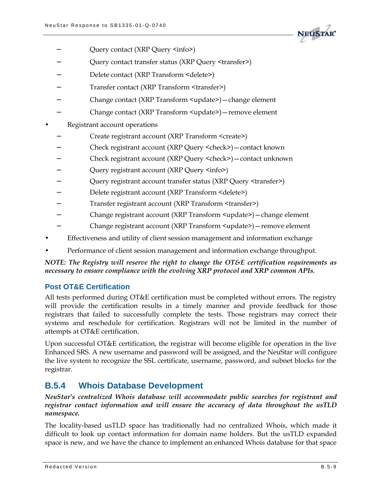

- Query contact (XRP Query <info>)
- − Query contact transfer status (XRP Query <transfer>)
- − Delete contact (XRP Transform <delete>)
- − Transfer contact (XRP Transform <transfer>)
- − Change contact (XRP Transform <update>)—change element
- − Change contact (XRP Transform <update>)—remove element
- Registrant account operations
	- − Create registrant account (XRP Transform <create>)
	- − Check registrant account (XRP Query <check>)—contact known
	- − Check registrant account (XRP Query <check>)—contact unknown
	- Query registrant account (XRP Query <info>)
	- Query registrant account transfer status (XRP Query <transfer>)
	- − Delete registrant account (XRP Transform <delete>)
	- Transfer registrant account (XRP Transform <transfer>)
	- − Change registrant account (XRP Transform <update>)—change element
	- − Change registrant account (XRP Transform <update>)—remove element
- Effectiveness and utility of client session management and information exchange
- Performance of client session management and information exchange throughput.

*NOTE: The Registry will reserve the right to change the OT&E certification requirements as necessary to ensure compliance with the evolving XRP protocol and XRP common APIs.*

#### **Post OT&E Certification**

All tests performed during OT&E certification must be completed without errors. The registry will provide the certification results in a timely manner and provide feedback for those registrars that failed to successfully complete the tests. Those registrars may correct their systems and reschedule for certification. Registrars will not be limited in the number of attempts at OT&E certification.

Upon successful OT&E certification, the registrar will become eligible for operation in the live Enhanced SRS. A new username and password will be assigned, and the NeuStar will configure the live system to recognize the SSL certificate, username, password, and subnet blocks for the registrar.

### **B.5.4 Whois Database Development**

*NeuStar's centralized Whois database will accommodate public searches for registrant and registrar contact information and will ensure the accuracy of data throughout the usTLD namespace.*

The locality-based usTLD space has traditionally had no centralized Whois, which made it difficult to look up contact information for domain name holders. But the usTLD expanded space is new, and we have the chance to implement an enhanced Whois database for that space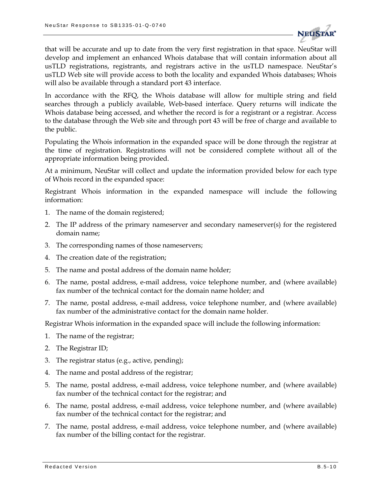

that will be accurate and up to date from the very first registration in that space. NeuStar will develop and implement an enhanced Whois database that will contain information about all usTLD registrations, registrants, and registrars active in the usTLD namespace. NeuStar's usTLD Web site will provide access to both the locality and expanded Whois databases; Whois will also be available through a standard port 43 interface.

In accordance with the RFQ, the Whois database will allow for multiple string and field searches through a publicly available, Web-based interface. Query returns will indicate the Whois database being accessed, and whether the record is for a registrant or a registrar. Access to the database through the Web site and through port 43 will be free of charge and available to the public.

Populating the Whois information in the expanded space will be done through the registrar at the time of registration. Registrations will not be considered complete without all of the appropriate information being provided.

At a minimum, NeuStar will collect and update the information provided below for each type of Whois record in the expanded space:

Registrant Whois information in the expanded namespace will include the following information:

- 1. The name of the domain registered;
- 2. The IP address of the primary nameserver and secondary nameserver(s) for the registered domain name;
- 3. The corresponding names of those nameservers;
- 4. The creation date of the registration;
- 5. The name and postal address of the domain name holder;
- 6. The name, postal address, e-mail address, voice telephone number, and (where available) fax number of the technical contact for the domain name holder; and
- 7. The name, postal address, e-mail address, voice telephone number, and (where available) fax number of the administrative contact for the domain name holder.

Registrar Whois information in the expanded space will include the following information:

- 1. The name of the registrar;
- 2. The Registrar ID;
- 3. The registrar status (e.g., active, pending);
- 4. The name and postal address of the registrar;
- 5. The name, postal address, e-mail address, voice telephone number, and (where available) fax number of the technical contact for the registrar; and
- 6. The name, postal address, e-mail address, voice telephone number, and (where available) fax number of the technical contact for the registrar; and
- 7. The name, postal address, e-mail address, voice telephone number, and (where available) fax number of the billing contact for the registrar.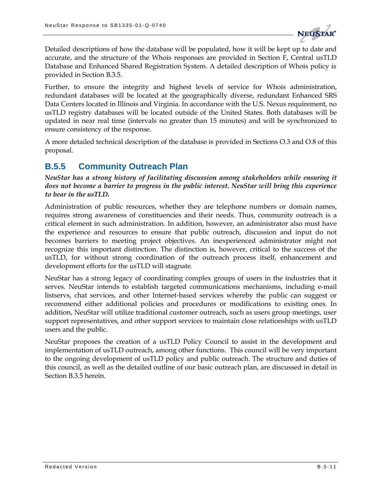

Detailed descriptions of how the database will be populated, how it will be kept up to date and accurate, and the structure of the Whois responses are provided in Section F, Central usTLD Database and Enhanced Shared Registration System. A detailed description of Whois policy is provided in Section B.3.5.

Further, to ensure the integrity and highest levels of service for Whois administration, redundant databases will be located at the geographically diverse, redundant Enhanced SRS Data Centers located in Illinois and Virginia. In accordance with the U.S. Nexus requirement, no usTLD registry databases will be located outside of the United States. Both databases will be updated in near real time (intervals no greater than 15 minutes) and will be synchronized to ensure consistency of the response.

A more detailed technical description of the database is provided in Sections O.3 and O.8 of this proposal.

### **B.5.5 Community Outreach Plan**

*NeuStar has a strong history of facilitating discussion among stakeholders while ensuring it does not become a barrier to progress in the public interest. NeuStar will bring this experience to bear in the usTLD.*

Administration of public resources, whether they are telephone numbers or domain names, requires strong awareness of constituencies and their needs. Thus, community outreach is a critical element in such administration. In addition, however, an administrator also must have the experience and resources to ensure that public outreach, discussion and input do not becomes barriers to meeting project objectives. An inexperienced administrator might not recognize this important distinction. The distinction is, however, critical to the success of the usTLD, for without strong coordination of the outreach process itself, enhancement and development efforts for the usTLD will stagnate.

NeuStar has a strong legacy of coordinating complex groups of users in the industries that it serves. NeuStar intends to establish targeted communications mechanisms, including e-mail listservs, chat services, and other Internet-based services whereby the public can suggest or recommend either additional policies and procedures or modifications to existing ones. In addition, NeuStar will utilize traditional customer outreach, such as users group meetings, user support representatives, and other support services to maintain close relationships with usTLD users and the public.

NeuStar proposes the creation of a usTLD Policy Council to assist in the development and implementation of usTLD outreach, among other functions. This council will be very important to the ongoing development of usTLD policy and public outreach. The structure and duties of this council, as well as the detailed outline of our basic outreach plan, are discussed in detail in Section B.3.5 herein.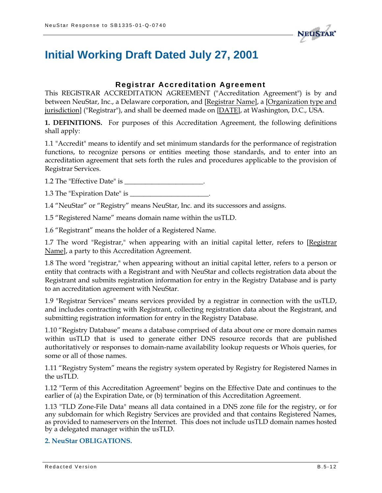

# **Initial Working Draft Dated July 27, 2001**

### **Registrar Accreditation Agreement**

This REGISTRAR ACCREDITATION AGREEMENT ("Accreditation Agreement") is by and between NeuStar, Inc., a Delaware corporation, and [Registrar Name], a [Organization type and jurisdiction] ("Registrar"), and shall be deemed made on [DATE], at Washington, D.C., USA.

**1. DEFINITIONS.** For purposes of this Accreditation Agreement, the following definitions shall apply:

1.1 "Accredit" means to identify and set minimum standards for the performance of registration functions, to recognize persons or entities meeting those standards, and to enter into an accreditation agreement that sets forth the rules and procedures applicable to the provision of Registrar Services.

1.2 The "Effective Date" is \_\_\_\_\_\_\_\_\_\_\_\_\_\_\_\_\_\_\_\_\_\_\_.

1.3 The "Expiration Date" is \_\_\_\_\_\_\_\_\_\_\_\_\_\_\_\_\_\_\_\_\_\_\_.

1.4 "NeuStar" or "Registry" means NeuStar, Inc. and its successors and assigns.

1.5 "Registered Name" means domain name within the usTLD.

1.6 "Registrant" means the holder of a Registered Name.

1.7 The word "Registrar," when appearing with an initial capital letter, refers to [Registrar Name], a party to this Accreditation Agreement.

1.8 The word "registrar," when appearing without an initial capital letter, refers to a person or entity that contracts with a Registrant and with NeuStar and collects registration data about the Registrant and submits registration information for entry in the Registry Database and is party to an accreditation agreement with NeuStar.

1.9 "Registrar Services" means services provided by a registrar in connection with the usTLD, and includes contracting with Registrant, collecting registration data about the Registrant, and submitting registration information for entry in the Registry Database.

1.10 "Registry Database" means a database comprised of data about one or more domain names within usTLD that is used to generate either DNS resource records that are published authoritatively or responses to domain-name availability lookup requests or Whois queries, for some or all of those names.

1.11 "Registry System" means the registry system operated by Registry for Registered Names in the usTLD.

1.12 "Term of this Accreditation Agreement" begins on the Effective Date and continues to the earlier of (a) the Expiration Date, or (b) termination of this Accreditation Agreement.

1.13 "TLD Zone-File Data" means all data contained in a DNS zone file for the registry, or for any subdomain for which Registry Services are provided and that contains Registered Names, as provided to nameservers on the Internet. This does not include usTLD domain names hosted by a delegated manager within the usTLD.

#### **2. NeuStar OBLIGATIONS.**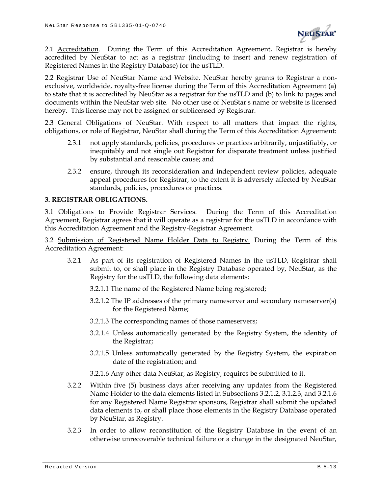

2.1 Accreditation. During the Term of this Accreditation Agreement, Registrar is hereby accredited by NeuStar to act as a registrar (including to insert and renew registration of Registered Names in the Registry Database) for the usTLD.

2.2 Registrar Use of NeuStar Name and Website. NeuStar hereby grants to Registrar a nonexclusive, worldwide, royalty-free license during the Term of this Accreditation Agreement (a) to state that it is accredited by NeuStar as a registrar for the usTLD and (b) to link to pages and documents within the NeuStar web site. No other use of NeuStar's name or website is licensed hereby. This license may not be assigned or sublicensed by Registrar.

2.3 General Obligations of NeuStar. With respect to all matters that impact the rights, obligations, or role of Registrar, NeuStar shall during the Term of this Accreditation Agreement:

- 2.3.1 not apply standards, policies, procedures or practices arbitrarily, unjustifiably, or inequitably and not single out Registrar for disparate treatment unless justified by substantial and reasonable cause; and
- 2.3.2 ensure, through its reconsideration and independent review policies, adequate appeal procedures for Registrar, to the extent it is adversely affected by NeuStar standards, policies, procedures or practices.

#### **3. REGISTRAR OBLIGATIONS.**

3.1 Obligations to Provide Registrar Services. During the Term of this Accreditation Agreement, Registrar agrees that it will operate as a registrar for the usTLD in accordance with this Accreditation Agreement and the Registry-Registrar Agreement.

3.2 Submission of Registered Name Holder Data to Registry. During the Term of this Accreditation Agreement:

- 3.2.1 As part of its registration of Registered Names in the usTLD, Registrar shall submit to, or shall place in the Registry Database operated by, NeuStar, as the Registry for the usTLD, the following data elements:
	- 3.2.1.1 The name of the Registered Name being registered;
	- 3.2.1.2 The IP addresses of the primary nameserver and secondary nameserver(s) for the Registered Name;
	- 3.2.1.3 The corresponding names of those nameservers;
	- 3.2.1.4 Unless automatically generated by the Registry System, the identity of the Registrar;
	- 3.2.1.5 Unless automatically generated by the Registry System, the expiration date of the registration; and
	- 3.2.1.6 Any other data NeuStar, as Registry, requires be submitted to it.
- 3.2.2 Within five (5) business days after receiving any updates from the Registered Name Holder to the data elements listed in Subsections 3.2.1.2, 3.1.2.3, and 3.2.1.6 for any Registered Name Registrar sponsors, Registrar shall submit the updated data elements to, or shall place those elements in the Registry Database operated by NeuStar, as Registry.
- 3.2.3 In order to allow reconstitution of the Registry Database in the event of an otherwise unrecoverable technical failure or a change in the designated NeuStar,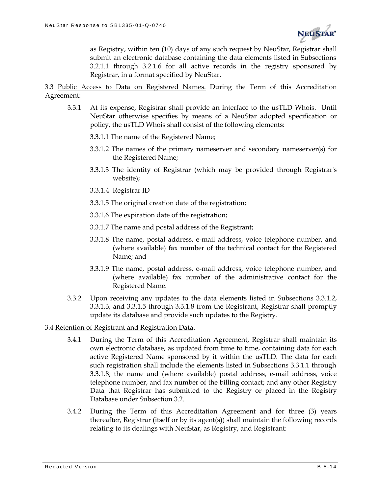

as Registry, within ten (10) days of any such request by NeuStar, Registrar shall submit an electronic database containing the data elements listed in Subsections 3.2.1.1 through 3.2.1.6 for all active records in the registry sponsored by Registrar, in a format specified by NeuStar.

3.3 Public Access to Data on Registered Names. During the Term of this Accreditation Agreement:

- 3.3.1 At its expense, Registrar shall provide an interface to the usTLD Whois. Until NeuStar otherwise specifies by means of a NeuStar adopted specification or policy, the usTLD Whois shall consist of the following elements:
	- 3.3.1.1 The name of the Registered Name;
	- 3.3.1.2 The names of the primary nameserver and secondary nameserver(s) for the Registered Name;
	- 3.3.1.3 The identity of Registrar (which may be provided through Registrar's website);
	- 3.3.1.4 Registrar ID
	- 3.3.1.5 The original creation date of the registration;
	- 3.3.1.6 The expiration date of the registration;
	- 3.3.1.7 The name and postal address of the Registrant;
	- 3.3.1.8 The name, postal address, e-mail address, voice telephone number, and (where available) fax number of the technical contact for the Registered Name; and
	- 3.3.1.9 The name, postal address, e-mail address, voice telephone number, and (where available) fax number of the administrative contact for the Registered Name.
- 3.3.2 Upon receiving any updates to the data elements listed in Subsections 3.3.1.2, 3.3.1.3, and 3.3.1.5 through 3.3.1.8 from the Registrant, Registrar shall promptly update its database and provide such updates to the Registry.

#### 3.4 Retention of Registrant and Registration Data.

- 3.4.1 During the Term of this Accreditation Agreement, Registrar shall maintain its own electronic database, as updated from time to time, containing data for each active Registered Name sponsored by it within the usTLD. The data for each such registration shall include the elements listed in Subsections 3.3.1.1 through 3.3.1.8; the name and (where available) postal address, e-mail address, voice telephone number, and fax number of the billing contact; and any other Registry Data that Registrar has submitted to the Registry or placed in the Registry Database under Subsection 3.2.
- 3.4.2 During the Term of this Accreditation Agreement and for three (3) years thereafter, Registrar (itself or by its agent(s)) shall maintain the following records relating to its dealings with NeuStar, as Registry, and Registrant: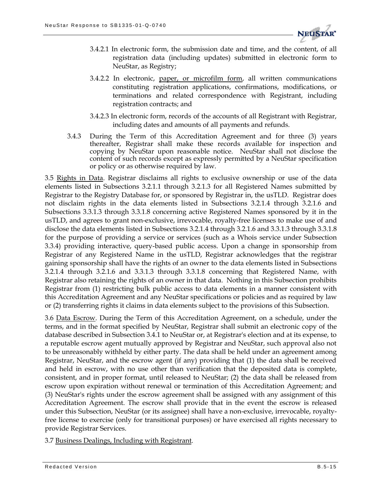

- 3.4.2.1 In electronic form, the submission date and time, and the content, of all registration data (including updates) submitted in electronic form to NeuStar, as Registry;
- 3.4.2.2 In electronic, paper, or microfilm form, all written communications constituting registration applications, confirmations, modifications, or terminations and related correspondence with Registrant, including registration contracts; and
- 3.4.2.3 In electronic form, records of the accounts of all Registrant with Registrar, including dates and amounts of all payments and refunds.
- 3.4.3 During the Term of this Accreditation Agreement and for three (3) years thereafter, Registrar shall make these records available for inspection and copying by NeuStar upon reasonable notice. NeuStar shall not disclose the content of such records except as expressly permitted by a NeuStar specification or policy or as otherwise required by law.

3.5 Rights in Data. Registrar disclaims all rights to exclusive ownership or use of the data elements listed in Subsections 3.2.1.1 through 3.2.1.3 for all Registered Names submitted by Registrar to the Registry Database for, or sponsored by Registrar in, the usTLD. Registrar does not disclaim rights in the data elements listed in Subsections 3.2.1.4 through 3.2.1.6 and Subsections 3.3.1.3 through 3.3.1.8 concerning active Registered Names sponsored by it in the usTLD, and agrees to grant non-exclusive, irrevocable, royalty-free licenses to make use of and disclose the data elements listed in Subsections 3.2.1.4 through 3.2.1.6 and 3.3.1.3 through 3.3.1.8 for the purpose of providing a service or services (such as a Whois service under Subsection 3.3.4) providing interactive, query-based public access. Upon a change in sponsorship from Registrar of any Registered Name in the usTLD, Registrar acknowledges that the registrar gaining sponsorship shall have the rights of an owner to the data elements listed in Subsections 3.2.1.4 through 3.2.1.6 and 3.3.1.3 through 3.3.1.8 concerning that Registered Name, with Registrar also retaining the rights of an owner in that data. Nothing in this Subsection prohibits Registrar from (1) restricting bulk public access to data elements in a manner consistent with this Accreditation Agreement and any NeuStar specifications or policies and as required by law or (2) transferring rights it claims in data elements subject to the provisions of this Subsection.

3.6 Data Escrow. During the Term of this Accreditation Agreement, on a schedule, under the terms, and in the format specified by NeuStar, Registrar shall submit an electronic copy of the database described in Subsection 3.4.1 to NeuStar or, at Registrar's election and at its expense, to a reputable escrow agent mutually approved by Registrar and NeuStar, such approval also not to be unreasonably withheld by either party. The data shall be held under an agreement among Registrar, NeuStar, and the escrow agent (if any) providing that (1) the data shall be received and held in escrow, with no use other than verification that the deposited data is complete, consistent, and in proper format, until released to NeuStar; (2) the data shall be released from escrow upon expiration without renewal or termination of this Accreditation Agreement; and (3) NeuStar's rights under the escrow agreement shall be assigned with any assignment of this Accreditation Agreement. The escrow shall provide that in the event the escrow is released under this Subsection, NeuStar (or its assignee) shall have a non-exclusive, irrevocable, royaltyfree license to exercise (only for transitional purposes) or have exercised all rights necessary to provide Registrar Services.

3.7 Business Dealings, Including with Registrant.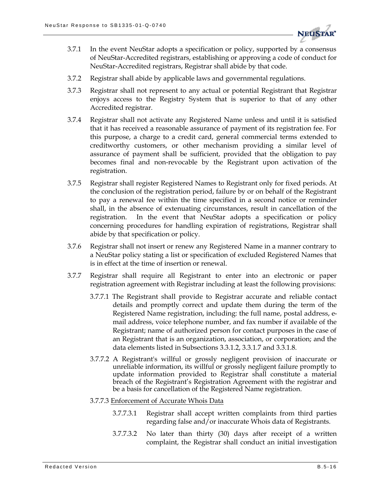

- 3.7.1 In the event NeuStar adopts a specification or policy, supported by a consensus of NeuStar-Accredited registrars, establishing or approving a code of conduct for NeuStar-Accredited registrars, Registrar shall abide by that code.
- 3.7.2 Registrar shall abide by applicable laws and governmental regulations.
- 3.7.3 Registrar shall not represent to any actual or potential Registrant that Registrar enjoys access to the Registry System that is superior to that of any other Accredited registrar.
- 3.7.4 Registrar shall not activate any Registered Name unless and until it is satisfied that it has received a reasonable assurance of payment of its registration fee. For this purpose, a charge to a credit card, general commercial terms extended to creditworthy customers, or other mechanism providing a similar level of assurance of payment shall be sufficient, provided that the obligation to pay becomes final and non-revocable by the Registrant upon activation of the registration.
- 3.7.5 Registrar shall register Registered Names to Registrant only for fixed periods. At the conclusion of the registration period, failure by or on behalf of the Registrant to pay a renewal fee within the time specified in a second notice or reminder shall, in the absence of extenuating circumstances, result in cancellation of the registration. In the event that NeuStar adopts a specification or policy concerning procedures for handling expiration of registrations, Registrar shall abide by that specification or policy.
- 3.7.6 Registrar shall not insert or renew any Registered Name in a manner contrary to a NeuStar policy stating a list or specification of excluded Registered Names that is in effect at the time of insertion or renewal.
- 3.7.7 Registrar shall require all Registrant to enter into an electronic or paper registration agreement with Registrar including at least the following provisions:
	- 3.7.7.1 The Registrant shall provide to Registrar accurate and reliable contact details and promptly correct and update them during the term of the Registered Name registration, including: the full name, postal address, email address, voice telephone number, and fax number if available of the Registrant; name of authorized person for contact purposes in the case of an Registrant that is an organization, association, or corporation; and the data elements listed in Subsections 3.3.1.2, 3.3.1.7 and 3.3.1.8.
	- 3.7.7.2 A Registrant's willful or grossly negligent provision of inaccurate or unreliable information, its willful or grossly negligent failure promptly to update information provided to Registrar shall constitute a material breach of the Registrant's Registration Agreement with the registrar and be a basis for cancellation of the Registered Name registration.

#### 3.7.7.3 Enforcement of Accurate Whois Data

- 3.7.7.3.1 Registrar shall accept written complaints from third parties regarding false and/or inaccurate Whois data of Registrants.
- 3.7.7.3.2 No later than thirty (30) days after receipt of a written complaint, the Registrar shall conduct an initial investigation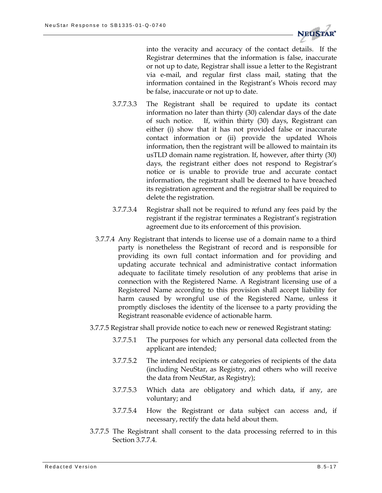

into the veracity and accuracy of the contact details. If the Registrar determines that the information is false, inaccurate or not up to date, Registrar shall issue a letter to the Registrant via e-mail, and regular first class mail, stating that the information contained in the Registrant's Whois record may be false, inaccurate or not up to date.

- 3.7.7.3.3 The Registrant shall be required to update its contact information no later than thirty (30) calendar days of the date of such notice. If, within thirty (30) days, Registrant can either (i) show that it has not provided false or inaccurate contact information or (ii) provide the updated Whois information, then the registrant will be allowed to maintain its usTLD domain name registration. If, however, after thirty (30) days, the registrant either does not respond to Registrar's notice or is unable to provide true and accurate contact information, the registrant shall be deemed to have breached its registration agreement and the registrar shall be required to delete the registration.
- 3.7.7.3.4 Registrar shall not be required to refund any fees paid by the registrant if the registrar terminates a Registrant's registration agreement due to its enforcement of this provision.
- 3.7.7.4 Any Registrant that intends to license use of a domain name to a third party is nonetheless the Registrant of record and is responsible for providing its own full contact information and for providing and updating accurate technical and administrative contact information adequate to facilitate timely resolution of any problems that arise in connection with the Registered Name. A Registrant licensing use of a Registered Name according to this provision shall accept liability for harm caused by wrongful use of the Registered Name, unless it promptly discloses the identity of the licensee to a party providing the Registrant reasonable evidence of actionable harm.
- 3.7.7.5 Registrar shall provide notice to each new or renewed Registrant stating:
	- 3.7.7.5.1 The purposes for which any personal data collected from the applicant are intended;
	- 3.7.7.5.2 The intended recipients or categories of recipients of the data (including NeuStar, as Registry, and others who will receive the data from NeuStar, as Registry);
	- 3.7.7.5.3 Which data are obligatory and which data, if any, are voluntary; and
	- 3.7.7.5.4 How the Registrant or data subject can access and, if necessary, rectify the data held about them.
- 3.7.7.5 The Registrant shall consent to the data processing referred to in this Section 3.7.7.4.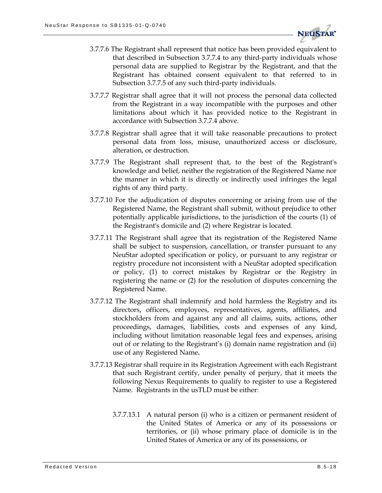

- 3.7.7.6 The Registrant shall represent that notice has been provided equivalent to that described in Subsection 3.7.7.4 to any third-party individuals whose personal data are supplied to Registrar by the Registrant, and that the Registrant has obtained consent equivalent to that referred to in Subsection 3.7.7.5 of any such third-party individuals.
- 3.7.7.7 Registrar shall agree that it will not process the personal data collected from the Registrant in a way incompatible with the purposes and other limitations about which it has provided notice to the Registrant in accordance with Subsection 3.7.7.4 above.
- 3.7.7.8 Registrar shall agree that it will take reasonable precautions to protect personal data from loss, misuse, unauthorized access or disclosure, alteration, or destruction.
- 3.7.7.9 The Registrant shall represent that, to the best of the Registrant's knowledge and belief, neither the registration of the Registered Name nor the manner in which it is directly or indirectly used infringes the legal rights of any third party.
- 3.7.7.10 For the adjudication of disputes concerning or arising from use of the Registered Name, the Registrant shall submit, without prejudice to other potentially applicable jurisdictions, to the jurisdiction of the courts (1) of the Registrant's domicile and (2) where Registrar is located.
- 3.7.7.11 The Registrant shall agree that its registration of the Registered Name shall be subject to suspension, cancellation, or transfer pursuant to any NeuStar adopted specification or policy, or pursuant to any registrar or registry procedure not inconsistent with a NeuStar adopted specification or policy, (1) to correct mistakes by Registrar or the Registry in registering the name or (2) for the resolution of disputes concerning the Registered Name.
- 3.7.7.12 The Registrant shall indemnify and hold harmless the Registry and its directors, officers, employees, representatives, agents, affiliates, and stockholders from and against any and all claims, suits, actions, other proceedings, damages, liabilities, costs and expenses of any kind, including without limitation reasonable legal fees and expenses, arising out of or relating to the Registrant's (i) domain name registration and (ii) use of any Registered Name**.**
- 3.7.7.13 Registrar shall require in its Registration Agreement with each Registrant that such Registrant certify, under penalty of perjury, that it meets the following Nexus Requirements to qualify to register to use a Registered Name. Registrants in the usTLD must be either:
	- 3.7.7.13.1 A natural person (i) who is a citizen or permanent resident of the United States of America or any of its possessions or territories, or (ii) whose primary place of domicile is in the United States of America or any of its possessions, or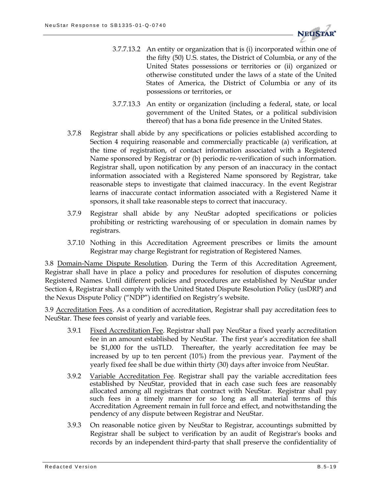

- 3.7.7.13.2 An entity or organization that is (i) incorporated within one of the fifty (50) U.S. states, the District of Columbia, or any of the United States possessions or territories or (ii) organized or otherwise constituted under the laws of a state of the United States of America, the District of Columbia or any of its possessions or territories, or
- 3.7.7.13.3 An entity or organization (including a federal, state, or local government of the United States, or a political subdivision thereof) that has a bona fide presence in the United States.
- 3.7.8 Registrar shall abide by any specifications or policies established according to Section 4 requiring reasonable and commercially practicable (a) verification, at the time of registration, of contact information associated with a Registered Name sponsored by Registrar or (b) periodic re-verification of such information. Registrar shall, upon notification by any person of an inaccuracy in the contact information associated with a Registered Name sponsored by Registrar, take reasonable steps to investigate that claimed inaccuracy. In the event Registrar learns of inaccurate contact information associated with a Registered Name it sponsors, it shall take reasonable steps to correct that inaccuracy.
- 3.7.9 Registrar shall abide by any NeuStar adopted specifications or policies prohibiting or restricting warehousing of or speculation in domain names by registrars.
- 3.7.10 Nothing in this Accreditation Agreement prescribes or limits the amount Registrar may charge Registrant for registration of Registered Names.

3.8 Domain-Name Dispute Resolution. During the Term of this Accreditation Agreement, Registrar shall have in place a policy and procedures for resolution of disputes concerning Registered Names. Until different policies and procedures are established by NeuStar under Section 4, Registrar shall comply with the United Stated Dispute Resolution Policy (usDRP) and the Nexus Dispute Policy ("NDP") identified on Registry's website.

3.9 Accreditation Fees. As a condition of accreditation, Registrar shall pay accreditation fees to NeuStar. These fees consist of yearly and variable fees.

- 3.9.1 Fixed Accreditation Fee. Registrar shall pay NeuStar a fixed yearly accreditation fee in an amount established by NeuStar. The first year's accreditation fee shall be \$1,000 for the usTLD. Thereafter, the yearly accreditation fee may be increased by up to ten percent (10%) from the previous year. Payment of the yearly fixed fee shall be due within thirty (30) days after invoice from NeuStar.
- 3.9.2 Variable Accreditation Fee. Registrar shall pay the variable accreditation fees established by NeuStar, provided that in each case such fees are reasonably allocated among all registrars that contract with NeuStar. Registrar shall pay such fees in a timely manner for so long as all material terms of this Accreditation Agreement remain in full force and effect, and notwithstanding the pendency of any dispute between Registrar and NeuStar.
- 3.9.3 On reasonable notice given by NeuStar to Registrar, accountings submitted by Registrar shall be subject to verification by an audit of Registrar's books and records by an independent third-party that shall preserve the confidentiality of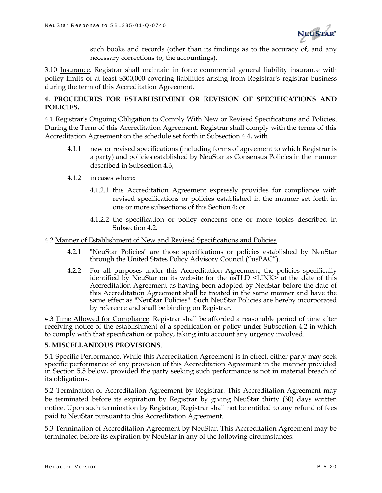

such books and records (other than its findings as to the accuracy of, and any necessary corrections to, the accountings).

3.10 Insurance. Registrar shall maintain in force commercial general liability insurance with policy limits of at least \$500,000 covering liabilities arising from Registrar's registrar business during the term of this Accreditation Agreement.

#### **4. PROCEDURES FOR ESTABLISHMENT OR REVISION OF SPECIFICATIONS AND POLICIES.**

4.1 Registrar's Ongoing Obligation to Comply With New or Revised Specifications and Policies. During the Term of this Accreditation Agreement, Registrar shall comply with the terms of this Accreditation Agreement on the schedule set forth in Subsection 4.4, with

- 4.1.1 new or revised specifications (including forms of agreement to which Registrar is a party) and policies established by NeuStar as Consensus Policies in the manner described in Subsection 4.3,
- 4.1.2 in cases where:
	- 4.1.2.1 this Accreditation Agreement expressly provides for compliance with revised specifications or policies established in the manner set forth in one or more subsections of this Section 4; or
	- 4.1.2.2 the specification or policy concerns one or more topics described in Subsection 4.2.

#### 4.2 Manner of Establishment of New and Revised Specifications and Policies

- 4.2.1 "NeuStar Policies" are those specifications or policies established by NeuStar through the United States Policy Advisory Council ("usPAC").
- 4.2.2 For all purposes under this Accreditation Agreement, the policies specifically identified by NeuStar on its website for the usTLD <LINK> at the date of this Accreditation Agreement as having been adopted by NeuStar before the date of this Accreditation Agreement shall be treated in the same manner and have the same effect as "NeuStar Policies". Such NeuStar Policies are hereby incorporated by reference and shall be binding on Registrar.

4.3 Time Allowed for Compliance. Registrar shall be afforded a reasonable period of time after receiving notice of the establishment of a specification or policy under Subsection 4.2 in which to comply with that specification or policy, taking into account any urgency involved.

#### **5. MISCELLANEOUS PROVISIONS**.

5.1 Specific Performance. While this Accreditation Agreement is in effect, either party may seek specific performance of any provision of this Accreditation Agreement in the manner provided in Section 5.5 below, provided the party seeking such performance is not in material breach of its obligations.

5.2 Termination of Accreditation Agreement by Registrar. This Accreditation Agreement may be terminated before its expiration by Registrar by giving NeuStar thirty (30) days written notice. Upon such termination by Registrar, Registrar shall not be entitled to any refund of fees paid to NeuStar pursuant to this Accreditation Agreement.

5.3 Termination of Accreditation Agreement by NeuStar. This Accreditation Agreement may be terminated before its expiration by NeuStar in any of the following circumstances: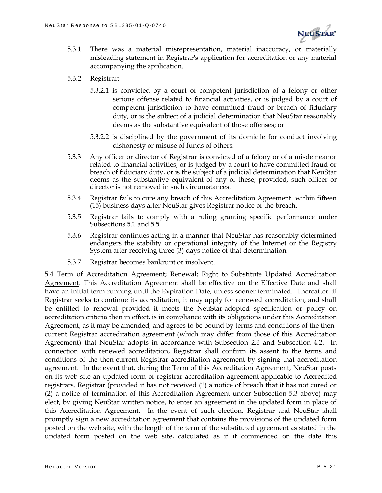

- 5.3.1 There was a material misrepresentation, material inaccuracy, or materially misleading statement in Registrar's application for accreditation or any material accompanying the application.
- 5.3.2 Registrar:
	- 5.3.2.1 is convicted by a court of competent jurisdiction of a felony or other serious offense related to financial activities, or is judged by a court of competent jurisdiction to have committed fraud or breach of fiduciary duty, or is the subject of a judicial determination that NeuStar reasonably deems as the substantive equivalent of those offenses; or
	- 5.3.2.2 is disciplined by the government of its domicile for conduct involving dishonesty or misuse of funds of others.
- 5.3.3 Any officer or director of Registrar is convicted of a felony or of a misdemeanor related to financial activities, or is judged by a court to have committed fraud or breach of fiduciary duty, or is the subject of a judicial determination that NeuStar deems as the substantive equivalent of any of these; provided, such officer or director is not removed in such circumstances.
- 5.3.4 Registrar fails to cure any breach of this Accreditation Agreement within fifteen (15) business days after NeuStar gives Registrar notice of the breach.
- 5.3.5 Registrar fails to comply with a ruling granting specific performance under Subsections 5.1 and 5.5.
- 5.3.6 Registrar continues acting in a manner that NeuStar has reasonably determined endangers the stability or operational integrity of the Internet or the Registry System after receiving three  $(3)$  days notice of that determination.
- 5.3.7 Registrar becomes bankrupt or insolvent.

5.4 Term of Accreditation Agreement; Renewal; Right to Substitute Updated Accreditation Agreement. This Accreditation Agreement shall be effective on the Effective Date and shall have an initial term running until the Expiration Date, unless sooner terminated. Thereafter, if Registrar seeks to continue its accreditation, it may apply for renewed accreditation, and shall be entitled to renewal provided it meets the NeuStar-adopted specification or policy on accreditation criteria then in effect, is in compliance with its obligations under this Accreditation Agreement, as it may be amended, and agrees to be bound by terms and conditions of the thencurrent Registrar accreditation agreement (which may differ from those of this Accreditation Agreement) that NeuStar adopts in accordance with Subsection 2.3 and Subsection 4.2. In connection with renewed accreditation, Registrar shall confirm its assent to the terms and conditions of the then-current Registrar accreditation agreement by signing that accreditation agreement. In the event that, during the Term of this Accreditation Agreement, NeuStar posts on its web site an updated form of registrar accreditation agreement applicable to Accredited registrars, Registrar (provided it has not received (1) a notice of breach that it has not cured or (2) a notice of termination of this Accreditation Agreement under Subsection 5.3 above) may elect, by giving NeuStar written notice, to enter an agreement in the updated form in place of this Accreditation Agreement. In the event of such election, Registrar and NeuStar shall promptly sign a new accreditation agreement that contains the provisions of the updated form posted on the web site, with the length of the term of the substituted agreement as stated in the updated form posted on the web site, calculated as if it commenced on the date this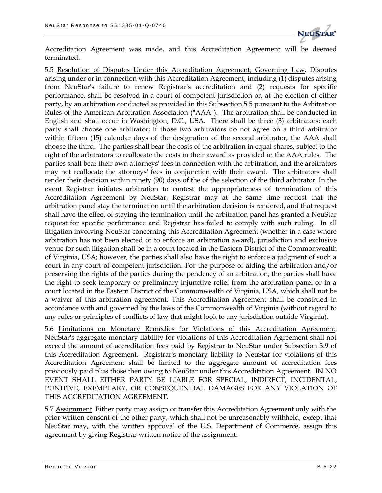

Accreditation Agreement was made, and this Accreditation Agreement will be deemed terminated.

5.5 Resolution of Disputes Under this Accreditation Agreement; Governing Law. Disputes arising under or in connection with this Accreditation Agreement, including (1) disputes arising from NeuStar's failure to renew Registrar's accreditation and (2) requests for specific performance, shall be resolved in a court of competent jurisdiction or, at the election of either party, by an arbitration conducted as provided in this Subsection 5.5 pursuant to the Arbitration Rules of the American Arbitration Association ("AAA"). The arbitration shall be conducted in English and shall occur in Washington, D.C., USA. There shall be three (3) arbitrators: each party shall choose one arbitrator; if those two arbitrators do not agree on a third arbitrator within fifteen (15) calendar days of the designation of the second arbitrator, the AAA shall choose the third. The parties shall bear the costs of the arbitration in equal shares, subject to the right of the arbitrators to reallocate the costs in their award as provided in the AAA rules. The parties shall bear their own attorneys' fees in connection with the arbitration, and the arbitrators may not reallocate the attorneys' fees in conjunction with their award. The arbitrators shall render their decision within ninety (90) days of the of the selection of the third arbitrator. In the event Registrar initiates arbitration to contest the appropriateness of termination of this Accreditation Agreement by NeuStar, Registrar may at the same time request that the arbitration panel stay the termination until the arbitration decision is rendered, and that request shall have the effect of staying the termination until the arbitration panel has granted a NeuStar request for specific performance and Registrar has failed to comply with such ruling. In all litigation involving NeuStar concerning this Accreditation Agreement (whether in a case where arbitration has not been elected or to enforce an arbitration award), jurisdiction and exclusive venue for such litigation shall be in a court located in the Eastern District of the Commonwealth of Virginia, USA; however, the parties shall also have the right to enforce a judgment of such a court in any court of competent jurisdiction. For the purpose of aiding the arbitration and/or preserving the rights of the parties during the pendency of an arbitration, the parties shall have the right to seek temporary or preliminary injunctive relief from the arbitration panel or in a court located in the Eastern District of the Commonwealth of Virginia, USA, which shall not be a waiver of this arbitration agreement. This Accreditation Agreement shall be construed in accordance with and governed by the laws of the Commonwealth of Virginia (without regard to any rules or principles of conflicts of law that might look to any jurisdiction outside Virginia).

5.6 Limitations on Monetary Remedies for Violations of this Accreditation Agreement. NeuStar's aggregate monetary liability for violations of this Accreditation Agreement shall not exceed the amount of accreditation fees paid by Registrar to NeuStar under Subsection 3.9 of this Accreditation Agreement. Registrar's monetary liability to NeuStar for violations of this Accreditation Agreement shall be limited to the aggregate amount of accreditation fees previously paid plus those then owing to NeuStar under this Accreditation Agreement. IN NO EVENT SHALL EITHER PARTY BE LIABLE FOR SPECIAL, INDIRECT, INCIDENTAL, PUNITIVE, EXEMPLARY, OR CONSEQUENTIAL DAMAGES FOR ANY VIOLATION OF THIS ACCREDITATION AGREEMENT.

5.7 Assignment. Either party may assign or transfer this Accreditation Agreement only with the prior written consent of the other party, which shall not be unreasonably withheld, except that NeuStar may, with the written approval of the U.S. Department of Commerce, assign this agreement by giving Registrar written notice of the assignment.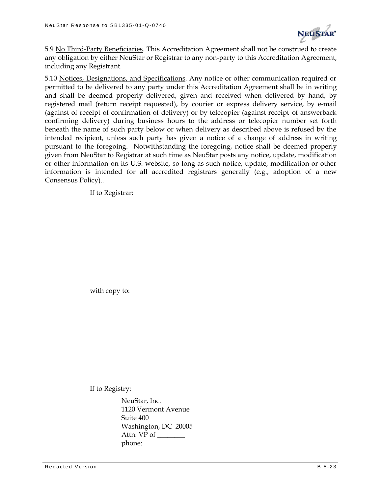

5.9 No Third-Party Beneficiaries. This Accreditation Agreement shall not be construed to create any obligation by either NeuStar or Registrar to any non-party to this Accreditation Agreement, including any Registrant.

5.10 Notices, Designations, and Specifications. Any notice or other communication required or permitted to be delivered to any party under this Accreditation Agreement shall be in writing and shall be deemed properly delivered, given and received when delivered by hand, by registered mail (return receipt requested), by courier or express delivery service, by e-mail (against of receipt of confirmation of delivery) or by telecopier (against receipt of answerback confirming delivery) during business hours to the address or telecopier number set forth beneath the name of such party below or when delivery as described above is refused by the intended recipient, unless such party has given a notice of a change of address in writing pursuant to the foregoing. Notwithstanding the foregoing, notice shall be deemed properly given from NeuStar to Registrar at such time as NeuStar posts any notice, update, modification or other information on its U.S. website, so long as such notice, update, modification or other information is intended for all accredited registrars generally (e.g., adoption of a new Consensus Policy)..

If to Registrar:

with copy to:

If to Registry:

NeuStar, Inc. 1120 Vermont Avenue Suite 400 Washington, DC 20005 Attn: VP of \_\_\_\_\_\_\_\_ phone:\_\_\_\_\_\_\_\_\_\_\_\_\_\_\_\_\_\_\_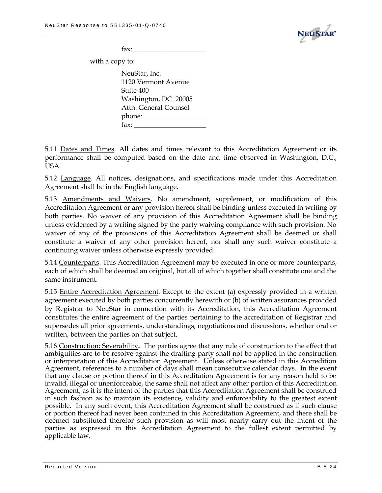

 $\text{fax:}$ 

with a copy to:

NeuStar, Inc. 1120 Vermont Avenue Suite 400 Washington, DC 20005 Attn: General Counsel phone:\_\_\_\_\_\_\_\_\_\_\_\_\_\_\_\_\_\_\_  $\text{fax:}$ 

5.11 Dates and Times. All dates and times relevant to this Accreditation Agreement or its performance shall be computed based on the date and time observed in Washington, D.C., USA.

5.12 Language. All notices, designations, and specifications made under this Accreditation Agreement shall be in the English language.

5.13 Amendments and Waivers. No amendment, supplement, or modification of this Accreditation Agreement or any provision hereof shall be binding unless executed in writing by both parties. No waiver of any provision of this Accreditation Agreement shall be binding unless evidenced by a writing signed by the party waiving compliance with such provision. No waiver of any of the provisions of this Accreditation Agreement shall be deemed or shall constitute a waiver of any other provision hereof, nor shall any such waiver constitute a continuing waiver unless otherwise expressly provided.

5.14 Counterparts. This Accreditation Agreement may be executed in one or more counterparts, each of which shall be deemed an original, but all of which together shall constitute one and the same instrument.

5.15 Entire Accreditation Agreement. Except to the extent (a) expressly provided in a written agreement executed by both parties concurrently herewith or (b) of written assurances provided by Registrar to NeuStar in connection with its Accreditation, this Accreditation Agreement constitutes the entire agreement of the parties pertaining to the accreditation of Registrar and supersedes all prior agreements, understandings, negotiations and discussions, whether oral or written, between the parties on that subject.

5.16 Construction; Severability**.** The parties agree that any rule of construction to the effect that ambiguities are to be resolve against the drafting party shall not be applied in the construction or interpretation of this Accreditation Agreement. Unless otherwise stated in this Accredition Agreement, references to a number of days shall mean consecutive calendar days. In the event that any clause or portion thereof in this Accreditation Agreement is for any reason held to be invalid, illegal or unenforceable, the same shall not affect any other portion of this Accreditation Agreement, as it is the intent of the parties that this Accreditation Agreement shall be construed in such fashion as to maintain its existence, validity and enforceability to the greatest extent possible. In any such event, this Accreditation Agreement shall be construed as if such clause or portion thereof had never been contained in this Accreditation Agreement, and there shall be deemed substituted therefor such provision as will most nearly carry out the intent of the parties as expressed in this Accreditation Agreement to the fullest extent permitted by applicable law.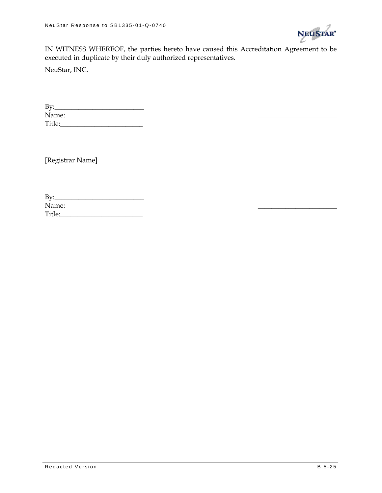

IN WITNESS WHEREOF, the parties hereto have caused this Accreditation Agreement to be executed in duplicate by their duly authorized representatives.

NeuStar, INC.

By:\_\_\_\_\_\_\_\_\_\_\_\_\_\_\_\_\_\_\_\_\_\_\_\_\_\_ Name: \_\_\_\_\_\_\_\_\_\_\_\_\_\_\_\_\_\_\_\_\_\_\_ Title:\_\_\_\_\_\_\_\_\_\_\_\_\_\_\_\_\_\_\_\_\_\_\_\_

[Registrar Name]

| Bv:    |  |
|--------|--|
| Name:  |  |
| Title: |  |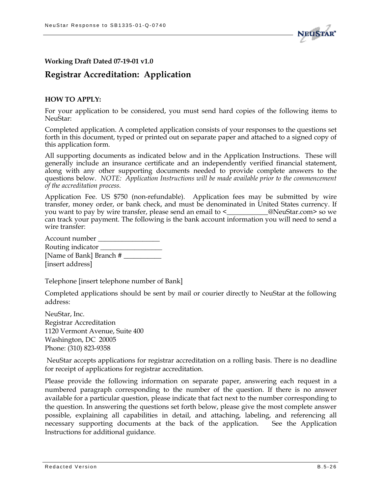

#### **Working Draft Dated 07-19-01 v1.0**

### **Registrar Accreditation: Application**

#### **HOW TO APPLY:**

For your application to be considered, you must send hard copies of the following items to NeuStar:

Completed application. A completed application consists of your responses to the questions set forth in this document, typed or printed out on separate paper and attached to a signed copy of this application form.

All supporting documents as indicated below and in the Application Instructions. These will generally include an insurance certificate and an independently verified financial statement, along with any other supporting documents needed to provide complete answers to the questions below. *NOTE: Application Instructions will be made available prior to the commencement of the accreditation process.*

Application Fee. US \$750 (non-refundable). Application fees may be submitted by wire transfer, money order, or bank check, and must be denominated in United States currency. If you want to pay by wire transfer, please send an email to <\_\_\_\_\_\_\_\_\_\_\_\_@NeuStar.com> so we can track your payment. The following is the bank account information you will need to send a wire transfer:

| Account number          |
|-------------------------|
| Routing indicator       |
| [Name of Bank] Branch # |
| [insert address]        |

Telephone [insert telephone number of Bank]

Completed applications should be sent by mail or courier directly to NeuStar at the following address:

NeuStar, Inc. Registrar Accreditation 1120 Vermont Avenue, Suite 400 Washington, DC 20005 Phone: (310) 823-9358

NeuStar accepts applications for registrar accreditation on a rolling basis. There is no deadline for receipt of applications for registrar accreditation.

Please provide the following information on separate paper, answering each request in a numbered paragraph corresponding to the number of the question. If there is no answer available for a particular question, please indicate that fact next to the number corresponding to the question. In answering the questions set forth below, please give the most complete answer possible, explaining all capabilities in detail, and attaching, labeling, and referencing all necessary supporting documents at the back of the application. See the Application Instructions for additional guidance.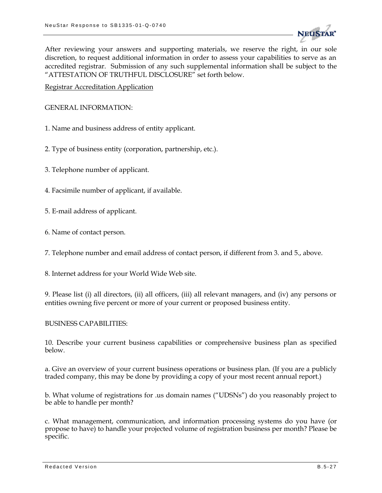

After reviewing your answers and supporting materials, we reserve the right, in our sole discretion, to request additional information in order to assess your capabilities to serve as an accredited registrar. Submission of any such supplemental information shall be subject to the "ATTESTATION OF TRUTHFUL DISCLOSURE" set forth below.

Registrar Accreditation Application

GENERAL INFORMATION:

- 1. Name and business address of entity applicant.
- 2. Type of business entity (corporation, partnership, etc.).
- 3. Telephone number of applicant.
- 4. Facsimile number of applicant, if available.
- 5. E-mail address of applicant.
- 6. Name of contact person.

7. Telephone number and email address of contact person, if different from 3. and 5., above.

8. Internet address for your World Wide Web site.

9. Please list (i) all directors, (ii) all officers, (iii) all relevant managers, and (iv) any persons or entities owning five percent or more of your current or proposed business entity.

#### BUSINESS CAPABILITIES:

10. Describe your current business capabilities or comprehensive business plan as specified below.

a. Give an overview of your current business operations or business plan. (If you are a publicly traded company, this may be done by providing a copy of your most recent annual report.)

b. What volume of registrations for .us domain names ("UDSNs") do you reasonably project to be able to handle per month?

c. What management, communication, and information processing systems do you have (or propose to have) to handle your projected volume of registration business per month? Please be specific.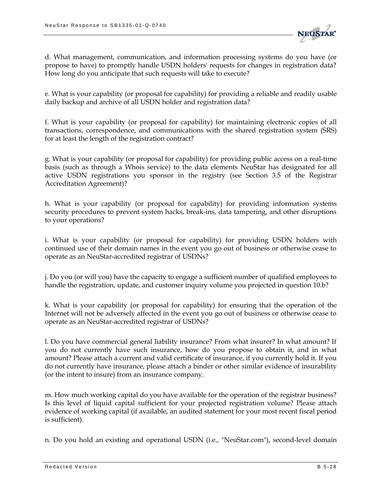

d. What management, communication, and information processing systems do you have (or propose to have) to promptly handle USDN holders' requests for changes in registration data? How long do you anticipate that such requests will take to execute?

e. What is your capability (or proposal for capability) for providing a reliable and readily usable daily backup and archive of all USDN holder and registration data?

f. What is your capability (or proposal for capability) for maintaining electronic copies of all transactions, correspondence, and communications with the shared registration system (SRS) for at least the length of the registration contract?

g. What is your capability (or proposal for capability) for providing public access on a real-time basis (such as through a Whois service) to the data elements NeuStar has designated for all active USDN registrations you sponsor in the registry (see Section 3.5 of the Registrar Accreditation Agreement)?

h. What is your capability (or proposal for capability) for providing information systems security procedures to prevent system hacks, break-ins, data tampering, and other disruptions to your operations?

i. What is your capability (or proposal for capability) for providing USDN holders with continued use of their domain names in the event you go out of business or otherwise cease to operate as an NeuStar-accredited registrar of USDNs?

j. Do you (or will you) have the capacity to engage a sufficient number of qualified employees to handle the registration, update, and customer inquiry volume you projected in question 10.b?

k. What is your capability (or proposal for capability) for ensuring that the operation of the Internet will not be adversely affected in the event you go out of business or otherwise cease to operate as an NeuStar-accredited registrar of USDNs?

l. Do you have commercial general liability insurance? From what insurer? In what amount? If you do not currently have such insurance, how do you propose to obtain it, and in what amount? Please attach a current and valid certificate of insurance, if you currently hold it. If you do not currently have insurance, please attach a binder or other similar evidence of insurability (or the intent to insure) from an insurance company.

m. How much working capital do you have available for the operation of the registrar business? Is this level of liquid capital sufficient for your projected registration volume? Please attach evidence of working capital (if available, an audited statement for your most recent fiscal period is sufficient).

n. Do you hold an existing and operational USDN (i.e., "NeuStar.com"), second-level domain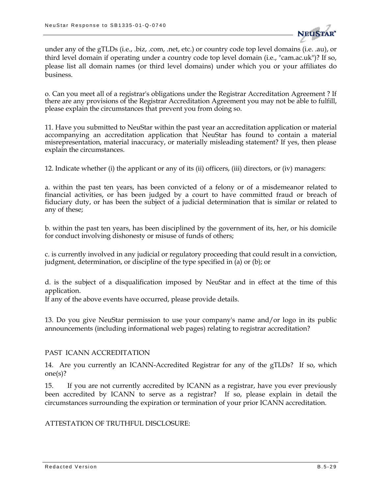

under any of the gTLDs (i.e., .biz, .com, .net, etc.) or country code top level domains (i.e. .au), or third level domain if operating under a country code top level domain (i.e., "cam.ac.uk")? If so, please list all domain names (or third level domains) under which you or your affiliates do business.

o. Can you meet all of a registrar's obligations under the Registrar Accreditation Agreement ? If there are any provisions of the Registrar Accreditation Agreement you may not be able to fulfill, please explain the circumstances that prevent you from doing so.

11. Have you submitted to NeuStar within the past year an accreditation application or material accompanying an accreditation application that NeuStar has found to contain a material misrepresentation, material inaccuracy, or materially misleading statement? If yes, then please explain the circumstances.

12. Indicate whether (i) the applicant or any of its (ii) officers, (iii) directors, or (iv) managers:

a. within the past ten years, has been convicted of a felony or of a misdemeanor related to financial activities, or has been judged by a court to have committed fraud or breach of fiduciary duty, or has been the subject of a judicial determination that is similar or related to any of these;

b. within the past ten years, has been disciplined by the government of its, her, or his domicile for conduct involving dishonesty or misuse of funds of others;

c. is currently involved in any judicial or regulatory proceeding that could result in a conviction, judgment, determination, or discipline of the type specified in (a) or (b); or

d. is the subject of a disqualification imposed by NeuStar and in effect at the time of this application.

If any of the above events have occurred, please provide details.

13. Do you give NeuStar permission to use your company's name and/or logo in its public announcements (including informational web pages) relating to registrar accreditation?

#### PAST ICANN ACCREDITATION

14. Are you currently an ICANN-Accredited Registrar for any of the gTLDs? If so, which one(s)?

15. If you are not currently accredited by ICANN as a registrar, have you ever previously been accredited by ICANN to serve as a registrar? If so, please explain in detail the circumstances surrounding the expiration or termination of your prior ICANN accreditation.

ATTESTATION OF TRUTHFUL DISCLOSURE: